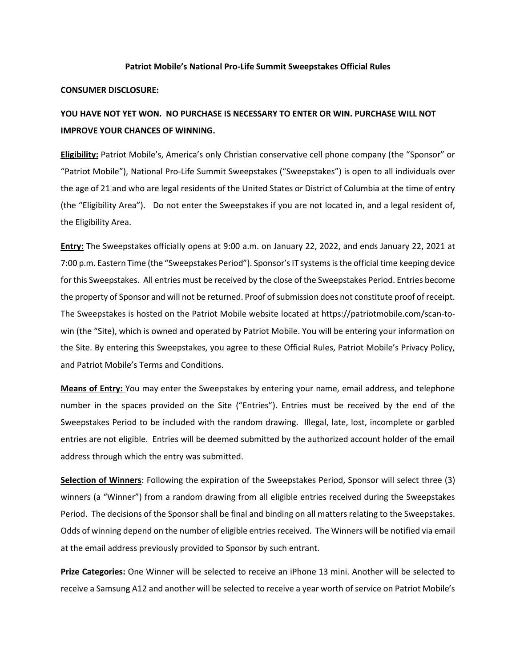## **Patriot Mobile's National Pro-Life Summit Sweepstakes Official Rules**

## **CONSUMER DISCLOSURE:**

## **YOU HAVE NOT YET WON. NO PURCHASE IS NECESSARY TO ENTER OR WIN. PURCHASE WILL NOT IMPROVE YOUR CHANCES OF WINNING.**

**Eligibility:** Patriot Mobile's, America's only Christian conservative cell phone company (the "Sponsor" or "Patriot Mobile"), National Pro-Life Summit Sweepstakes ("Sweepstakes") is open to all individuals over the age of 21 and who are legal residents of the United States or District of Columbia at the time of entry (the "Eligibility Area"). Do not enter the Sweepstakes if you are not located in, and a legal resident of, the Eligibility Area.

**Entry:** The Sweepstakes officially opens at 9:00 a.m. on January 22, 2022, and ends January 22, 2021 at 7:00 p.m. Eastern Time (the "Sweepstakes Period"). Sponsor's IT systems is the official time keeping device for this Sweepstakes. All entries must be received by the close of the Sweepstakes Period. Entries become the property of Sponsor and will not be returned. Proof of submission does not constitute proof of receipt. The Sweepstakes is hosted on the Patriot Mobile website located at https://patriotmobile.com/scan-towin (the "Site), which is owned and operated by Patriot Mobile. You will be entering your information on the Site. By entering this Sweepstakes, you agree to these Official Rules, Patriot Mobile's Privacy Policy, and Patriot Mobile's Terms and Conditions.

**Means of Entry:** You may enter the Sweepstakes by entering your name, email address, and telephone number in the spaces provided on the Site ("Entries"). Entries must be received by the end of the Sweepstakes Period to be included with the random drawing. Illegal, late, lost, incomplete or garbled entries are not eligible. Entries will be deemed submitted by the authorized account holder of the email address through which the entry was submitted.

**Selection of Winners**: Following the expiration of the Sweepstakes Period, Sponsor will select three (3) winners (a "Winner") from a random drawing from all eligible entries received during the Sweepstakes Period. The decisions of the Sponsor shall be final and binding on all matters relating to the Sweepstakes. Odds of winning depend on the number of eligible entries received. The Winners will be notified via email at the email address previously provided to Sponsor by such entrant.

**Prize Categories:** One Winner will be selected to receive an iPhone 13 mini. Another will be selected to receive a Samsung A12 and another will be selected to receive a year worth of service on Patriot Mobile's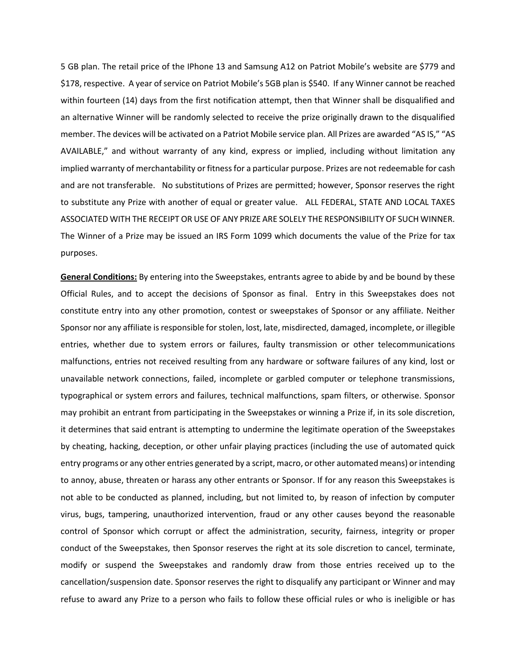5 GB plan. The retail price of the IPhone 13 and Samsung A12 on Patriot Mobile's website are \$779 and \$178, respective. A year of service on Patriot Mobile's 5GB plan is \$540. If any Winner cannot be reached within fourteen (14) days from the first notification attempt, then that Winner shall be disqualified and an alternative Winner will be randomly selected to receive the prize originally drawn to the disqualified member. The devices will be activated on a Patriot Mobile service plan. All Prizes are awarded "AS IS," "AS AVAILABLE," and without warranty of any kind, express or implied, including without limitation any implied warranty of merchantability or fitness for a particular purpose. Prizes are not redeemable for cash and are not transferable. No substitutions of Prizes are permitted; however, Sponsor reserves the right to substitute any Prize with another of equal or greater value. ALL FEDERAL, STATE AND LOCAL TAXES ASSOCIATED WITH THE RECEIPT OR USE OF ANY PRIZE ARE SOLELY THE RESPONSIBILITY OF SUCH WINNER. The Winner of a Prize may be issued an IRS Form 1099 which documents the value of the Prize for tax purposes.

**General Conditions:** By entering into the Sweepstakes, entrants agree to abide by and be bound by these Official Rules, and to accept the decisions of Sponsor as final. Entry in this Sweepstakes does not constitute entry into any other promotion, contest or sweepstakes of Sponsor or any affiliate. Neither Sponsor nor any affiliate is responsible for stolen, lost, late, misdirected, damaged, incomplete, or illegible entries, whether due to system errors or failures, faulty transmission or other telecommunications malfunctions, entries not received resulting from any hardware or software failures of any kind, lost or unavailable network connections, failed, incomplete or garbled computer or telephone transmissions, typographical or system errors and failures, technical malfunctions, spam filters, or otherwise. Sponsor may prohibit an entrant from participating in the Sweepstakes or winning a Prize if, in its sole discretion, it determines that said entrant is attempting to undermine the legitimate operation of the Sweepstakes by cheating, hacking, deception, or other unfair playing practices (including the use of automated quick entry programs or any other entries generated by a script, macro, or other automated means) or intending to annoy, abuse, threaten or harass any other entrants or Sponsor. If for any reason this Sweepstakes is not able to be conducted as planned, including, but not limited to, by reason of infection by computer virus, bugs, tampering, unauthorized intervention, fraud or any other causes beyond the reasonable control of Sponsor which corrupt or affect the administration, security, fairness, integrity or proper conduct of the Sweepstakes, then Sponsor reserves the right at its sole discretion to cancel, terminate, modify or suspend the Sweepstakes and randomly draw from those entries received up to the cancellation/suspension date. Sponsor reserves the right to disqualify any participant or Winner and may refuse to award any Prize to a person who fails to follow these official rules or who is ineligible or has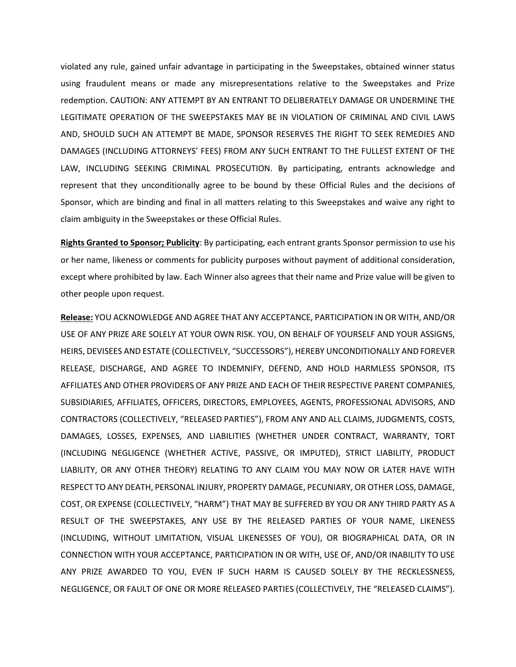violated any rule, gained unfair advantage in participating in the Sweepstakes, obtained winner status using fraudulent means or made any misrepresentations relative to the Sweepstakes and Prize redemption. CAUTION: ANY ATTEMPT BY AN ENTRANT TO DELIBERATELY DAMAGE OR UNDERMINE THE LEGITIMATE OPERATION OF THE SWEEPSTAKES MAY BE IN VIOLATION OF CRIMINAL AND CIVIL LAWS AND, SHOULD SUCH AN ATTEMPT BE MADE, SPONSOR RESERVES THE RIGHT TO SEEK REMEDIES AND DAMAGES (INCLUDING ATTORNEYS' FEES) FROM ANY SUCH ENTRANT TO THE FULLEST EXTENT OF THE LAW, INCLUDING SEEKING CRIMINAL PROSECUTION. By participating, entrants acknowledge and represent that they unconditionally agree to be bound by these Official Rules and the decisions of Sponsor, which are binding and final in all matters relating to this Sweepstakes and waive any right to claim ambiguity in the Sweepstakes or these Official Rules.

**Rights Granted to Sponsor; Publicity**: By participating, each entrant grants Sponsor permission to use his or her name, likeness or comments for publicity purposes without payment of additional consideration, except where prohibited by law. Each Winner also agrees that their name and Prize value will be given to other people upon request.

**Release:** YOU ACKNOWLEDGE AND AGREE THAT ANY ACCEPTANCE, PARTICIPATION IN OR WITH, AND/OR USE OF ANY PRIZE ARE SOLELY AT YOUR OWN RISK. YOU, ON BEHALF OF YOURSELF AND YOUR ASSIGNS, HEIRS, DEVISEES AND ESTATE (COLLECTIVELY, "SUCCESSORS"), HEREBY UNCONDITIONALLY AND FOREVER RELEASE, DISCHARGE, AND AGREE TO INDEMNIFY, DEFEND, AND HOLD HARMLESS SPONSOR, ITS AFFILIATES AND OTHER PROVIDERS OF ANY PRIZE AND EACH OF THEIR RESPECTIVE PARENT COMPANIES, SUBSIDIARIES, AFFILIATES, OFFICERS, DIRECTORS, EMPLOYEES, AGENTS, PROFESSIONAL ADVISORS, AND CONTRACTORS (COLLECTIVELY, "RELEASED PARTIES"), FROM ANY AND ALL CLAIMS, JUDGMENTS, COSTS, DAMAGES, LOSSES, EXPENSES, AND LIABILITIES (WHETHER UNDER CONTRACT, WARRANTY, TORT (INCLUDING NEGLIGENCE (WHETHER ACTIVE, PASSIVE, OR IMPUTED), STRICT LIABILITY, PRODUCT LIABILITY, OR ANY OTHER THEORY) RELATING TO ANY CLAIM YOU MAY NOW OR LATER HAVE WITH RESPECT TO ANY DEATH, PERSONAL INJURY, PROPERTY DAMAGE, PECUNIARY, OR OTHER LOSS, DAMAGE, COST, OR EXPENSE (COLLECTIVELY, "HARM") THAT MAY BE SUFFERED BY YOU OR ANY THIRD PARTY AS A RESULT OF THE SWEEPSTAKES, ANY USE BY THE RELEASED PARTIES OF YOUR NAME, LIKENESS (INCLUDING, WITHOUT LIMITATION, VISUAL LIKENESSES OF YOU), OR BIOGRAPHICAL DATA, OR IN CONNECTION WITH YOUR ACCEPTANCE, PARTICIPATION IN OR WITH, USE OF, AND/OR INABILITY TO USE ANY PRIZE AWARDED TO YOU, EVEN IF SUCH HARM IS CAUSED SOLELY BY THE RECKLESSNESS, NEGLIGENCE, OR FAULT OF ONE OR MORE RELEASED PARTIES (COLLECTIVELY, THE "RELEASED CLAIMS").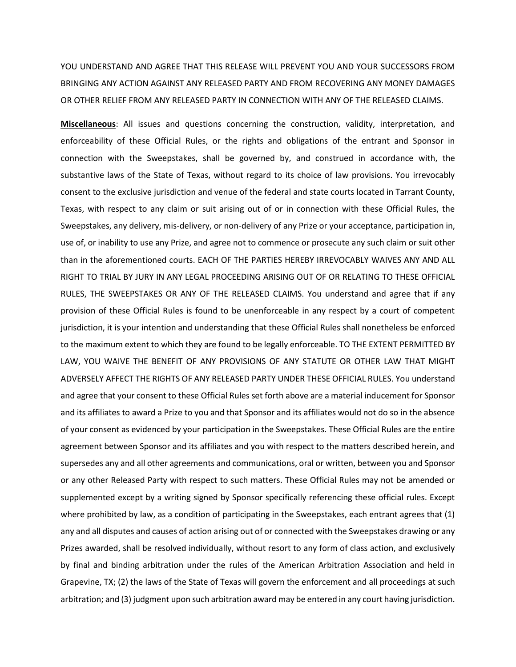YOU UNDERSTAND AND AGREE THAT THIS RELEASE WILL PREVENT YOU AND YOUR SUCCESSORS FROM BRINGING ANY ACTION AGAINST ANY RELEASED PARTY AND FROM RECOVERING ANY MONEY DAMAGES OR OTHER RELIEF FROM ANY RELEASED PARTY IN CONNECTION WITH ANY OF THE RELEASED CLAIMS.

**Miscellaneous**: All issues and questions concerning the construction, validity, interpretation, and enforceability of these Official Rules, or the rights and obligations of the entrant and Sponsor in connection with the Sweepstakes, shall be governed by, and construed in accordance with, the substantive laws of the State of Texas, without regard to its choice of law provisions. You irrevocably consent to the exclusive jurisdiction and venue of the federal and state courts located in Tarrant County, Texas, with respect to any claim or suit arising out of or in connection with these Official Rules, the Sweepstakes, any delivery, mis-delivery, or non-delivery of any Prize or your acceptance, participation in, use of, or inability to use any Prize, and agree not to commence or prosecute any such claim or suit other than in the aforementioned courts. EACH OF THE PARTIES HEREBY IRREVOCABLY WAIVES ANY AND ALL RIGHT TO TRIAL BY JURY IN ANY LEGAL PROCEEDING ARISING OUT OF OR RELATING TO THESE OFFICIAL RULES, THE SWEEPSTAKES OR ANY OF THE RELEASED CLAIMS. You understand and agree that if any provision of these Official Rules is found to be unenforceable in any respect by a court of competent jurisdiction, it is your intention and understanding that these Official Rules shall nonetheless be enforced to the maximum extent to which they are found to be legally enforceable. TO THE EXTENT PERMITTED BY LAW, YOU WAIVE THE BENEFIT OF ANY PROVISIONS OF ANY STATUTE OR OTHER LAW THAT MIGHT ADVERSELY AFFECT THE RIGHTS OF ANY RELEASED PARTY UNDER THESE OFFICIAL RULES. You understand and agree that your consent to these Official Rules set forth above are a material inducement for Sponsor and its affiliates to award a Prize to you and that Sponsor and its affiliates would not do so in the absence of your consent as evidenced by your participation in the Sweepstakes. These Official Rules are the entire agreement between Sponsor and its affiliates and you with respect to the matters described herein, and supersedes any and all other agreements and communications, oral or written, between you and Sponsor or any other Released Party with respect to such matters. These Official Rules may not be amended or supplemented except by a writing signed by Sponsor specifically referencing these official rules. Except where prohibited by law, as a condition of participating in the Sweepstakes, each entrant agrees that (1) any and all disputes and causes of action arising out of or connected with the Sweepstakes drawing or any Prizes awarded, shall be resolved individually, without resort to any form of class action, and exclusively by final and binding arbitration under the rules of the American Arbitration Association and held in Grapevine, TX; (2) the laws of the State of Texas will govern the enforcement and all proceedings at such arbitration; and (3) judgment upon such arbitration award may be entered in any court having jurisdiction.